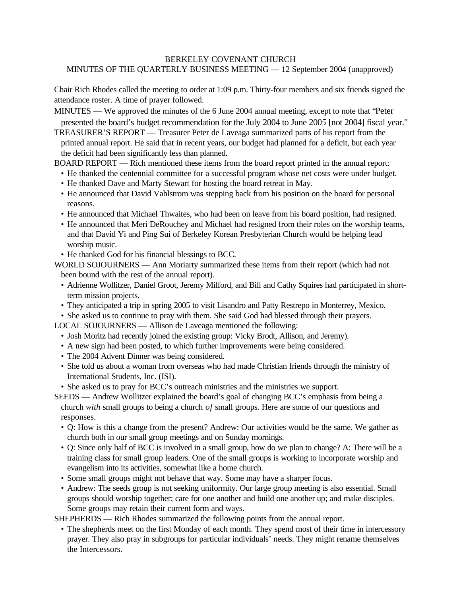## BERKELEY COVENANT CHURCH

MINUTES OF THE QUARTERLY BUSINESS MEETING — 12 September 2004 (unapproved)

Chair Rich Rhodes called the meeting to order at 1:09 p.m. Thirty-four members and six friends signed the attendance roster. A time of prayer followed.

MINUTES — We approved the minutes of the 6 June 2004 annual meeting, except to note that "Peter presented the board's budget recommendation for the July 2004 to June 200*5* [not 2004] fiscal year."

TREASURER'S REPORT — Treasurer Peter de Laveaga summarized parts of his report from the printed annual report. He said that in recent years, our budget had planned for a deficit, but each year the deficit had been significantly less than planned.

BOARD REPORT — Rich mentioned these items from the board report printed in the annual report:

- He thanked the centennial committee for a successful program whose net costs were under budget.
- He thanked Dave and Marty Stewart for hosting the board retreat in May.
- He announced that David Vahlstrom was stepping back from his position on the board for personal reasons.
- He announced that Michael Thwaites, who had been on leave from his board position, had resigned.
- He announced that Meri DeRouchey and Michael had resigned from their roles on the worship teams, and that David Yi and Ping Sui of Berkeley Korean Presbyterian Church would be helping lead worship music.
- He thanked God for his financial blessings to BCC.

WORLD SOJOURNERS — Ann Moriarty summarized these items from their report (which had not been bound with the rest of the annual report).

- Adrienne Wollitzer, Daniel Groot, Jeremy Milford, and Bill and Cathy Squires had participated in shortterm mission projects.
- They anticipated a trip in spring 2005 to visit Lisandro and Patty Restrepo in Monterrey, Mexico.
- She asked us to continue to pray with them. She said God had blessed through their prayers.

LOCAL SOJOURNERS — Allison de Laveaga mentioned the following:

- Josh Moritz had recently joined the existing group: Vicky Brodt, Allison, and Jeremy).
- A new sign had been posted, to which further improvements were being considered.
- The 2004 Advent Dinner was being considered.
- She told us about a woman from overseas who had made Christian friends through the ministry of International Students, Inc. (ISI).
- She asked us to pray for BCC's outreach ministries and the ministries we support.
- SEEDS Andrew Wollitzer explained the board's goal of changing BCC's emphasis from being a church *with* small groups to being a church *of* small groups. Here are some of our questions and responses.
	- Q: How is this a change from the present? Andrew: Our activities would be the same. We gather as church both in our small group meetings and on Sunday mornings.
	- Q: Since only half of BCC is involved in a small group, how do we plan to change? A: There will be a training class for small group leaders. One of the small groups is working to incorporate worship and evangelism into its activities, somewhat like a home church.
	- Some small groups might not behave that way. Some may have a sharper focus.
	- Andrew: The seeds group is not seeking uniformity. Our large group meeting is also essential. Small groups should worship together; care for one another and build one another up; and make disciples. Some groups may retain their current form and ways.

SHEPHERDS — Rich Rhodes summarized the following points from the annual report.

• The shepherds meet on the first Monday of each month. They spend most of their time in intercessory prayer. They also pray in subgroups for particular individuals' needs. They might rename themselves the Intercessors.